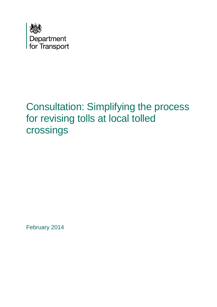

# Consultation: Simplifying the process for revising tolls at local tolled crossings

February 2014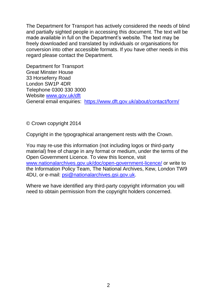The Department for Transport has actively considered the needs of blind and partially sighted people in accessing this document. The text will be made available in full on the Department's website. The text may be freely downloaded and translated by individuals or organisations for conversion into other accessible formats. If you have other needs in this regard please contact the Department.

Department for Transport Great Minster House 33 Horseferry Road London SW1P 4DR Telephone 0300 330 3000 Website [www.gov.uk/dft](http://www.gov.uk/dft) General email enquiries: <https://www.dft.gov.uk/about/contact/form/>

© Crown copyright 2014

Copyright in the typographical arrangement rests with the Crown.

You may re-use this information (not including logos or third-party material) free of charge in any format or medium, under the terms of the Open Government Licence. To view this licence, visit [www.nationalarchives.gov.uk/doc/open-government-licence/](http://www.nationalarchives.gov.uk/doc/open-government-licence/) or write to the Information Policy Team, The National Archives, Kew, London TW9 4DU, or e-mail: [psi@nationalarchives.gsi.gov.uk.](mailto:psi@nationalarchives.gsi.gov.uk)

Where we have identified any third-party copyright information you will need to obtain permission from the copyright holders concerned.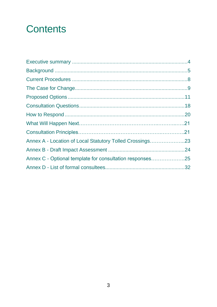# **Contents**

| Annex A - Location of Local Statutory Tolled Crossings23 |  |
|----------------------------------------------------------|--|
|                                                          |  |
| Annex C - Optional template for consultation responses25 |  |
|                                                          |  |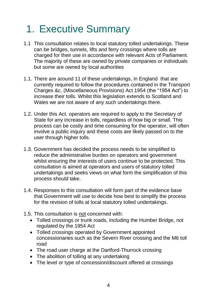# 1. Executive Summary

- 1.1 This consultation relates to local statutory tolled undertakings. These can be bridges, tunnels, lifts and ferry crossings where tolls are charged for their use in accordance with relevant Acts of Parliament. The majority of these are owned by private companies or individuals but some are owned by local authorities
- 1.1. There are around 11 of these undertakings, in England that are currently required to follow the procedures contained in the Transport Charges &c. (Miscellaneous Provisions) Act 1954 (the "1954 Act") to increase their tolls. Whilst this legislation extends to Scotland and Wales we are not aware of any such undertakings there.
- 1.2. Under this Act, operators are required to apply to the Secretary of State for any increase in tolls, regardless of how big or small. This process can be costly and time consuming for the operator, will often involve a public inquiry and these costs are likely passed on to the user through higher tolls.
- 1.3. Government has decided the process needs to be simplified to reduce the administrative burden on operators and government whilst ensuring the interests of users continue to be protected. This consultation is aimed at operators and users of statutory tolled undertakings and seeks views on what form the simplification of this process should take.
- 1.4. Responses to this consultation will form part of the evidence base that Government will use to decide how best to simplify the process for the revision of tolls at local statutory tolled undertakings.
- 1.5. This consultation is not concerned with:
	- Tolled crossings or trunk roads, including the Humber Bridge, not regulated by the 1954 Act
	- Tolled crossings operated by Government appointed concessionaries such as the Severn River crossing and the M6 toll road
	- The road user charge at the Dartford-Thurrock crossing
	- The abolition of tolling at any undertaking
	- The level or type of concession/discount offered at crossings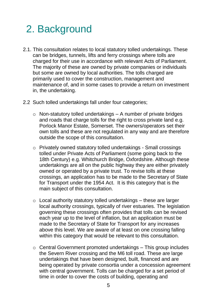# 2. Background

- 2.1. This consultation relates to local statutory tolled undertakings. These can be bridges, tunnels, lifts and ferry crossings where tolls are charged for their use in accordance with relevant Acts of Parliament. The majority of these are owned by private companies or individuals but some are owned by local authorities. The tolls charged are primarily used to cover the construction, management and maintenance of, and in some cases to provide a return on investment in, the undertaking.
- 2.2 Such tolled undertakings fall under four categories;
	- $\circ$  Non-statutory tolled undertakings A number of private bridges and roads that charge tolls for the right to cross private land e.g. Porlock Manor Estate, Somerset. The owners/operators set their own tolls and these are not regulated in any way and are therefore outside the scope of this consultation.
	- o Privately owned statutory tolled undertakings Small crossings tolled under Private Acts of Parliament (some going back to the 18th Century) e.g. Whitchurch Bridge, Oxfordshire. Although these undertakings are all on the public highway they are either privately owned or operated by a private trust. To revise tolls at these crossings, an application has to be made to the Secretary of State for Transport under the 1954 Act. It is this category that is the main subject of this consultation.
	- $\circ$  Local authority statutory tolled undertakings these are larger local authority crossings, typically of river estuaries. The legislation governing these crossings often provides that tolls can be revised each year up to the level of inflation, but an application must be made to the Secretary of State for Transport for any increases above this level. We are aware of at least on one crossing falling within this category that would be relevant to this consultation.
	- $\circ$  Central Government promoted undertakings This group includes the Severn River crossing and the M6 toll road. These are large undertakings that have been designed, built, financed and are being operated by private consortia under a concession agreement with central government. Tolls can be charged for a set period of time in order to cover the costs of building, operating and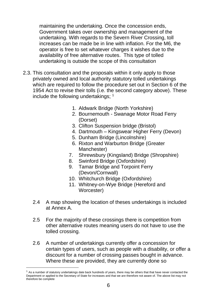maintaining the undertaking. Once the concession ends, Government takes over ownership and management of the undertaking. With regards to the Severn River Crossing, toll increases can be made be in line with inflation. For the M6, the operator is free to set whatever charges it wishes due to the availability of free alternative routes. This type of tolled undertaking is outside the scope of this consultation

- 2.3. This consultation and the proposals within it only apply to those privately owned and local authority statutory tolled undertakings which are required to follow the procedure set out in Section 6 of the 1954 Act to revise their tolls (i.e. the second category above). These include the following undertakings;  $<sup>1</sup>$ </sup>
	- 1. Aldwark Bridge (North Yorkshire)
	- 2. Bournemouth Swanage Motor Road Ferry (Dorset)
	- 3. Clifton Suspension bridge (Bristol)
	- 4. Dartmouth Kingswear Higher Ferry (Devon)
	- 5. Dunham Bridge (Lincolnshire)
	- 6. Rixton and Warburton Bridge (Greater Manchester)
	- 7. Shrewsbury (Kingsland) Bridge (Shropshire)
	- 8. Swinford Bridge (Oxfordshire)
	- 9. Tamar Bridge and Torpoint Ferry (Devon/Cornwall)
	- 10. Whitchurch Bridge (Oxfordshire)
	- 11. Whitney-on-Wye Bridge (Hereford and Worcester)
	- 2.4 A map showing the location of theses undertakings is included at Annex A.
	- 2.5 For the majority of these crossings there is competition from other alternative routes meaning users do not have to use the tolled crossing.
	- 2.6 A number of undertakings currently offer a concession for certain types of users, such as people with a disability, or offer a discount for a number of crossing passes bought in advance. Where these are provided, they are currently done so

 $\overline{a}$ 

 $<sup>1</sup>$  As a number of statutory undertakings date back hundreds of years, there may be others that that have never contacted the</sup> Department or applied to the Secretary of State for increases and that we are therefore not aware of. The above list may not therefore be complete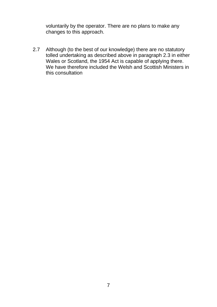voluntarily by the operator. There are no plans to make any changes to this approach.

2.7 Although (to the best of our knowledge) there are no statutory tolled undertaking as described above in paragraph 2.3 in either Wales or Scotland, the 1954 Act is capable of applying there. We have therefore included the Welsh and Scottish Ministers in this consultation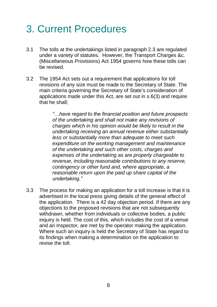# 3. Current Procedures

- 3.1 The tolls at the undertakings listed in paragraph 2.3 are regulated under a variety of statutes. However, the Transport Charges &c. (Miscellaneous Provisions) Act 1954 governs how these tolls can be revised.
- 3.2 The 1954 Act sets out a requirement that applications for toll revisions of any size must be made to the Secretary of State. The main criteria governing the Secretary of State's consideration of applications made under this Act, are set out in s.6(3) and require that he shall;

*"…have regard to the financial position and future prospects of the undertaking and shall not make any revisions of charges which in his opinion would be likely to result in the undertaking receiving an annual revenue either substantially less or substantially more than adequate to meet such expenditure on the working management and maintenance of the undertaking and such other costs, charges and expenses of the undertaking as are properly chargeable to revenue, including reasonable contributions to any reserve, contingency or other fund and, where appropriate, a reasonable return upon the paid up share capital of the undertaking."*

3.3 The process for making an application for a toll increase is that it is advertised in the local press giving details of the general effect of the application. There is a 42 day objection period. If there are any objections to the proposed revisions that are not subsequently withdrawn, whether from individuals or collective bodies, a public inquiry is held. The cost of this, which includes the cost of a venue and an Inspector, are met by the operator making the application. Where such an inquiry is held the Secretary of State has regard to its findings when making a determination on the application to revise the toll.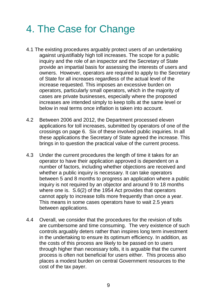# 4. The Case for Change

- 4.1 The existing procedures arguably protect users of an undertaking against unjustifiably high toll increases. The scope for a public inquiry and the role of an inspector and the Secretary of State provide an impartial basis for assessing the interests of users and owners. However, operators are required to apply to the Secretary of State for all increases regardless of the actual level of the increase requested. This imposes an excessive burden on operators, particularly small operators, which in the majority of cases are private businesses, especially where the proposed increases are intended simply to keep tolls at the same level or below in real terms once inflation is taken into account.
- 4.2 Between 2006 and 2012, the Department processed eleven applications for toll increases, submitted by operators of one of the crossings on page 6. Six of these involved public inquiries. In all these applications the Secretary of State agreed the increase. This brings in to question the practical value of the current process.
- 4.3 Under the current procedures the length of time it takes for an operator to have their application approved is dependent on a number of factors, including whether objections are received and whether a public inquiry is necessary. It can take operators between 5 and 8 months to progress an application where a public inquiry is not required by an objector and around 9 to 18 months where one is. S.6(2) of the 1954 Act provides that operators cannot apply to increase tolls more frequently than once a year. This means in some cases operators have to wait 2.5 years between applications.
- 4.4 Overall, we consider that the procedures for the revision of tolls are cumbersome and time consuming. The very existence of such controls arguably deters rather than inspires long term investment in the undertaking to ensure its optimum efficiency. In addition, as the costs of this process are likely to be passed on to users through higher than necessary tolls, it is arguable that the current process is often not beneficial for users either. This process also places a modest burden on central Government resources to the cost of the tax payer.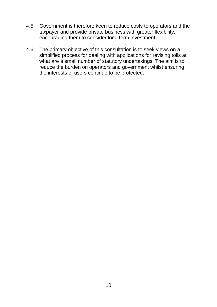- 4.5 Government is therefore keen to reduce costs to operators and the taxpayer and provide private business with greater flexibility, encouraging them to consider long term investment.
- 4.6 The primary objective of this consultation is to seek views on a simplified process for dealing with applications for revising tolls at what are a small number of statutory undertakings. The aim is to reduce the burden on operators and government whilst ensuring the interests of users continue to be protected.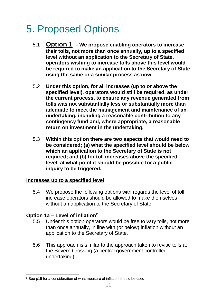# 5. Proposed Options

- 5.1 **Option 1\_- We propose enabling operators to increase their tolls, not more than once annually, up to a specified level without an application to the Secretary of State. operators wishing to increase tolls above this level would be required to make an application to the Secretary of State using the same or a similar process as now.**
- 5.2 **Under this option, for all increases (up to or above the specified level), operators would still be required, as under the current process, to ensure any revenue generated from tolls was not substantially less or substantially more than adequate to meet the management and maintenance of an undertaking, including a reasonable contribution to any contingency fund and, where appropriate, a reasonable return on investment in the undertaking.**
- 5.3 **Within this option there are two aspects that would need to be considered; (a) what the specified level should be below which an application to the Secretary of State is not required; and (b) for toll increases above the specified level, at what point it should be possible for a public inquiry to be triggered.**

### **Increases up to a specified level**

5.4 We propose the following options with regards the level of toll increase operators should be allowed to make themselves without an application to the Secretary of State;

### **Option 1a – Level of inflation<sup>2</sup>**

- 5.5 Under this option operators would be free to vary tolls, not more than once annually, in line with (or below) inflation without an application to the Secretary of State.
- 5.6 This approach is similar to the approach taken to revise tolls at the Severn Crossing (a central government controlled undertaking).

 $\overline{a}$ <sup>2</sup> See p15 for a consideration of what measure of inflation should be used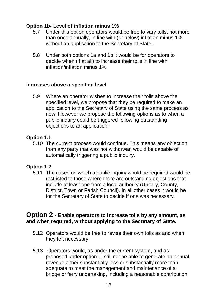### **Option 1b- Level of inflation minus 1%**

- 5.7 Under this option operators would be free to vary tolls, not more than once annually, in line with (or below) inflation minus 1% without an application to the Secretary of State.
- 5.8 Under both options 1a and 1b it would be for operators to decide when (if at all) to increase their tolls in line with inflation/inflation minus 1%.

### **Increases above a specified level**

5.9 Where an operator wishes to increase their tolls above the specified level, we propose that they be required to make an application to the Secretary of State using the same process as now. However we propose the following options as to when a public inquiry could be triggered following outstanding objections to an application;

### **Option 1.1**

5.10 The current process would continue. This means any objection from any party that was not withdrwan would be capable of automatically triggering a public inquiry.

### **Option 1.2**

5.11 The cases on which a public inquiry would be required would be restricted to those where there are outstanding objections that include at least one from a local authority (Unitary, County, District, Town or Parish Council). In all other cases it would be for the Secretary of State to decide if one was necessary.

### **Option 2 - Enable operators to increase tolls by any amount, as and when required, without applying to the Secretary of State.**

- 5.12 Operators would be free to revise their own tolls as and when they felt necessary.
- 5.13 Operators would, as under the current system, and as proposed under option 1, still not be able to generate an annual revenue either substantially less or substantially more than adequate to meet the management and maintenance of a bridge or ferry undertaking, including a reasonable contribution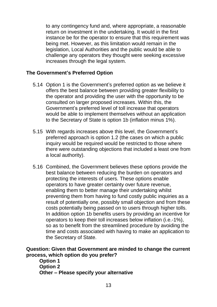to any contingency fund and, where appropriate, a reasonable return on investment in the undertaking. It would in the first instance be for the operator to ensure that this requirement was being met. However, as this limitation would remain in the legislation, Local Authorities and the public would be able to challenge any operators they thought were seeking excessive increases through the legal system.

### **The Government's Preferred Option**

- 5.14 Option 1 is the Government's preferred option as we believe it offers the best balance between providing greater flexibility to the operator and providing the user with the opportunity to be consulted on larger proposed increases. Within this, the Government's preferred level of toll increase that operators would be able to implement themselves without an application to the Secretary of State is option 1b (inflation minus 1%).
- 5.15 With regards increases above this level, the Government's preferred approach is option 1.2 (the cases on which a public inquiry would be required would be restricted to those where there were outstanding objections that included a least one from a local authority).
- 5.16 Combined, the Government believes these options provide the best balance between reducing the burden on operators and protecting the interests of users. These options enable operators to have greater certainty over future revenue, enabling them to better manage their undertaking whilst preventing them from having to fund costly public inquiries as a result of potentially one, possibly small objection and from these costs potentially being passed on to users through higher tolls. In addition option 1b benefits users by providing an incentive for operators to keep their toll increases below inflation (i.e.-1%), so as to benefit from the streamlined procedure by avoiding the time and costs associated with having to make an application to the Secretary of State.

### **Question: Given that Government are minded to change the current process, which option do you prefer?**

**Option 1 Option 2 Other – Please specify your alternative**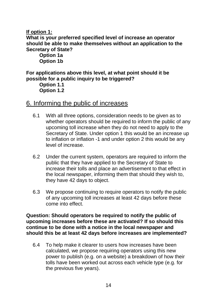### **If option 1:**

**What is your preferred specified level of increase an operator should be able to make themselves without an application to the Secretary of State?**

**Option 1a Option 1b**

**For applications above this level, at what point should it be possible for a public inquiry to be triggered?**

**Option 1.1 Option 1.2**

### 6. Informing the public of increases

- 6.1 With all three options, consideration needs to be given as to whether operators should be required to inform the public of any upcoming toll increase when they do not need to apply to the Secretary of State. Under option 1 this would be an increase up to inflation or inflation -1 and under option 2 this would be any level of increase.
- 6.2 Under the current system, operators are required to inform the public that they have applied to the Secretary of State to increase their tolls and place an advertisement to that effect in the local newspaper, informing them that should they wish to, they have 42 days to object.
- 6.3 We propose continuing to require operators to notify the public of any upcoming toll increases at least 42 days before these come into effect.

**Question: Should operators be required to notify the public of upcoming increases before these are activated? If so should this continue to be done with a notice in the local newspaper and should this be at least 42 days before increases are implemented?** 

6.4 To help make it clearer to users how increases have been calculated, we propose requiring operators using this new power to publish (e.g. on a website) a breakdown of how their tolls have been worked out across each vehicle type (e.g. for the previous five years).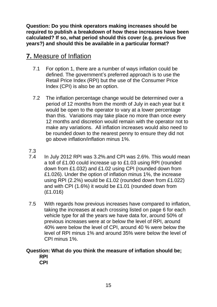**Question: Do you think operators making increases should be required to publish a breakdown of how these increases have been calculated? If so, what period should this cover (e.g. previous five years?) and should this be available in a particular format?**

## **7.** Measure of Inflation

- 7.1 For option 1, there are a number of ways inflation could be defined. The government's preferred approach is to use the Retail Price Index (RPI) but the use of the Consumer Price Index (CPI) is also be an option.
- 7.2 The inflation percentage change would be determined over a period of 12 months from the month of July in each year but it would be open to the operator to vary at a lower percentage than this. Variations may take place no more than once every 12 months and discretion would remain with the operator not to make any variations. All inflation increases would also need to be rounded down to the nearest penny to ensure they did not go above inflation/inflation minus 1%.
- 7.3
- 7.4 In July 2012 RPI was 3.2%.and CPI was 2.6%. This would mean a toll of £1.00 could increase up to £1.03 using RPI (rounded down from £1.032) and £1.02 using CPI (rounded down from £1.026). Under the option of inflation minus 1%, the increase using RPI (2.2%) would be £1.02 (rounded down from £1.022) and with CPI (1.6%) it would be £1.01 (rounded down from (£1.016)
- 7.5 With regards how previous increases have compared to inflation, taking the increases at each crossing listed on page 6 for each vehicle type for all the years we have data for, around 50% of previous increases were at or below the level of RPI, around 40% were below the level of CPI, around 40 % were below the level of RPI minus 1% and around 35% were below the level of CPI minus 1%.

#### **Question: What do you think the measure of inflation should be; RPI CPI**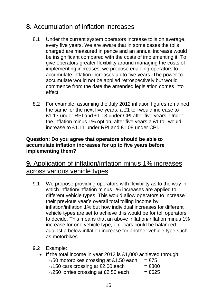## **8.** Accumulation of inflation increases

- 8.1 Under the current system operators increase tolls on average, every five years. We are aware that in some cases the tolls charged are measured in pence and an annual increase would be insignificant compared with the costs of implementing it. To give operators greater flexibility around managing the costs of implementing increases, we propose enabling operators to accumulate inflation increases up to five years. The power to accumulate would not be applied retrospectively but would commence from the date the amended legislation comes into effect.
- 8.2 For example, assuming the July 2012 inflation figures remained the same for the next five years, a £1 toll would increase to £1.17 under RPI and £1.13 under CPI after five years. Under the inflation minus 1% option, after five years a £1 toll would increase to £1.11 under RPI and £1.08 under CPI.

### **Question: Do you agree that operators should be able to accumulate inflation increases for up to five years before implementing them?**

## **9.** Application of inflation/inflation minus 1% increases across various vehicle types

- 9.1 We propose providing operators with flexibility as to the way in which inflation/inflation minus 1% increases are applied to different vehicle types. This would allow operators to increase their previous year's overall total tolling income by inflation/inflation 1% but how individual increases for different vehicle types are set to achieve this would be for toll operators to decide. This means that an above inflation/inflation minus 1% increase for one vehicle type, e.g. cars could be balanced against a below inflation increase for another vehicle type such as motorbikes.
- 9.2 Example:

| • If the total income in year 2013 is £1,000 achieved through; |          |
|----------------------------------------------------------------|----------|
| $\circ$ 50 motorbikes crossing at £1.50 each                   | $=$ £75  |
| o 150 cars crossing at £2.00 each                              | $=$ £300 |
| ○250 lorries crossing at £2.50 each                            | $=$ £625 |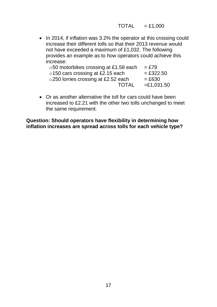$TOTAL = £1,000$ 

• In 2014, if inflation was 3.2% the operator at this crossing could increase their different tolls so that their 2013 revenue would not have exceeded a maximum of £1,032. The following provides an example as to how operators could achieve this increase:

| ○50 motorbikes crossing at £1.58 each   | $=$ £79         |
|-----------------------------------------|-----------------|
| $\circ$ 150 cars crossing at £2.15 each | $= £322.50$     |
| ○250 lorries crossing at £2.52 each     | $= \pounds 630$ |
| <b>TOTAL</b>                            | $= £1,031.50$   |
|                                         |                 |

 Or as another alternative the toll for cars could have been increased to £2.21 with the other two tolls unchanged to meet the same requirement.

**Question: Should operators have flexibility in determining how inflation increases are spread across tolls for each vehicle type?**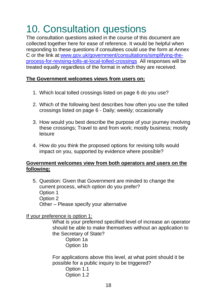# 10. Consultation questions

The consultation questions asked in the course of this document are collected together here for ease of reference. It would be helpful when responding to these questions if consultees could use the form at Annex C or the link at[:www.gov.uk/government/consultations/simplifying-the](http://www.gov.uk/government/consultations/simplifying-the-process-for-revising-tolls-at-local-tolled-crossings)[process-for-revising-tolls-at-local-tolled-crossings](http://www.gov.uk/government/consultations/simplifying-the-process-for-revising-tolls-at-local-tolled-crossings) All responses will be treated equally regardless of the format in which they are received.

### **The Government welcomes views from users on;**

- 1. Which local tolled crossings listed on page 6 do you use?
- 2. Which of the following best describes how often you use the tolled crossings listed on page 6 - Daily; weekly; occasionally
- 3. How would you best describe the purpose of your journey involving these crossings; Travel to and from work; mostly business; mostly leisure
- 4. How do you think the proposed options for revising tolls would impact on you, supported by evidence where possible?

### **Government welcomes view from both operators and users on the following;**

5. Question: Given that Government are minded to change the current process, which option do you prefer? Option 1 Option 2 Other – Please specify your alternative

### If your preference is option 1;

What is your preferred specified level of increase an operator should be able to make themselves without an application to the Secretary of State?

Option 1a Option 1b

For applications above this level, at what point should it be possible for a public inquiry to be triggered?

Option 1.1 Option 1.2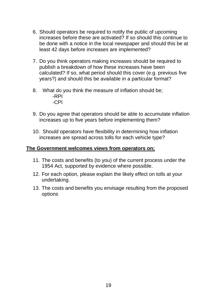- 6. Should operators be required to notify the public of upcoming increases before these are activated? If so should this continue to be done with a notice in the local newspaper and should this be at least 42 days before increases are implemented?
- 7. Do you think operators making increases should be required to publish a breakdown of how these increases have been calculated? If so, what period should this cover (e.g. previous five years?) and should this be available in a particular format?
- 8. What do you think the measure of inflation should be; -RPI -CPI
- 9. Do you agree that operators should be able to accumulate inflation increases up to five years before implementing them?
- 10. Should operators have flexibility in determining how inflation increases are spread across tolls for each vehicle type?

### **The Government welcomes views from operators on;**

- 11. The costs and benefits (to you) of the current process under the 1954 Act, supported by evidence where possible.
- 12. For each option, please explain the likely effect on tolls at your undertaking.
- 13. The costs and benefits you envisage resulting from the proposed options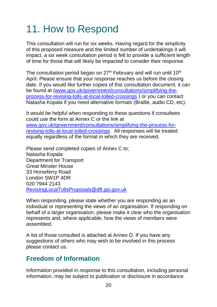# 11. How to Respond

This consultation will run for six weeks. Having regard for the simplicity of this proposed measure and the limited number of undertakings it will impact, a six week consultation period is felt to provide a sufficient length of time for those that will likely be impacted to consider their response.

The consultation period began on  $27<sup>th</sup>$  February and will run until  $10<sup>th</sup>$ April. Please ensure that your response reaches us before the closing date. If you would like further copies of this consultation document, it can be found at [\(www.gov.uk/government/consultations/simplifying-the](http://www.gov.uk/government/consultations/simplifying-the-process-for-revising-tolls-at-local-tolled-crossings)[process-for-revising-tolls-at-local-tolled-crossings](http://www.gov.uk/government/consultations/simplifying-the-process-for-revising-tolls-at-local-tolled-crossings) ) or you can contact Natasha Kopala if you need alternative formats (Braille, audio CD, etc).

It would be helpful when responding to these questions if consultees could use the form at Annex C or the link at [www.gov.uk/government/consultations/simplifying-the-process-for](http://www.gov.uk/government/consultations/simplifying-the-process-for-revising-tolls-at-local-tolled-crossings)[revising-tolls-at-local-tolled-crossings](http://www.gov.uk/government/consultations/simplifying-the-process-for-revising-tolls-at-local-tolled-crossings) All responses will be treated equally regardless of the format in which they are received.

Please send completed copies of Annex C to; Natasha Kopala Department for Transport Great Minster House 33 Horseferry Road London SW1P 4DR 020 7944 2143 [RevisingLocalTollsProposals@dft.gsi.gov.uk](mailto:RevisingLocalTollsProposals@dft.gsi.gov.uk)

When responding, please state whether you are responding as an individual or representing the views of an organisation. If responding on behalf of a larger organisation, please make it clear who the organisation represents and, where applicable, how the views of members were assembled.

A list of those consulted is attached at Annex D. If you have any suggestions of others who may wish to be involved in this process please contact us.

## **Freedom of Information**

Information provided in response to this consultation, including personal information, may be subject to publication or disclosure in accordance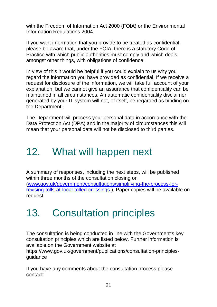with the Freedom of Information Act 2000 (FOIA) or the Environmental Information Regulations 2004.

If you want information that you provide to be treated as confidential, please be aware that, under the FOIA, there is a statutory Code of Practice with which public authorities must comply and which deals, amongst other things, with obligations of confidence.

In view of this it would be helpful if you could explain to us why you regard the information you have provided as confidential. If we receive a request for disclosure of the information, we will take full account of your explanation, but we cannot give an assurance that confidentiality can be maintained in all circumstances. An automatic confidentiality disclaimer generated by your IT system will not, of itself, be regarded as binding on the Department.

The Department will process your personal data in accordance with the Data Protection Act (DPA) and in the majority of circumstances this will mean that your personal data will not be disclosed to third parties.

# 12. What will happen next

A summary of responses, including the next steps, will be published within three months of the consultation closing on [\(www.gov.uk/government/consultations/simplifying-the-process-for](http://www.gov.uk/government/consultations/simplifying-the-process-for-revising-tolls-at-local-tolled-crossings)[revising-tolls-at-local-tolled-crossings](http://www.gov.uk/government/consultations/simplifying-the-process-for-revising-tolls-at-local-tolled-crossings) ). Paper copies will be available on request.

# 13. Consultation principles

The consultation is being conducted in line with the Government's key consultation principles which are listed below. Further information is available on the Government website at

https://www.gov.uk/government/publications/consultation-principlesguidance

If you have any comments about the consultation process please contact: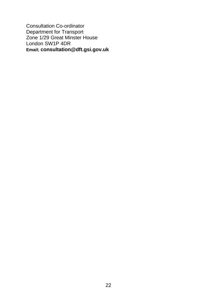Consultation Co-ordinator Department for Transport Zone 1/29 Great Minster House London SW1P 4DR **Email; consultation@dft.gsi.gov.uk**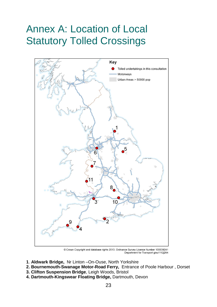# Annex A: Location of Local Statutory Tolled Crossings



© Crown Copyright and database rights 2013. Ordnance Survey Licence Number 100039241 Department for Transport gisu1112j264

- **1**. **Aldwark Bridge,** Nr Linton –On-Ouse, North Yorkshire
- **2. Bournemouth-Swanage Motor-Road Ferry,** Entrance of Poole Harbour , Dorset
- **3. Clifton Suspension Bridge**, Leigh Woods, Bristol
- **4. Dartmouth-Kingswear Floating Bridge,** Dartmouth, Devon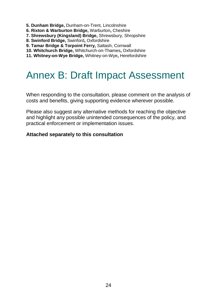- **5. Dunham Bridge,** Dunham-on-Trent, Lincolnshire
- **6. Rixton & Warburton Bridge,** Warburton**,** Cheshire
- **7. Shrewsbury (Kingsland) Bridge,** Shrewsbury, Shropshire
- **8. Swinford Bridge,** Swinford**,** Oxfordshire
- **9. Tamar Bridge & Torpoint Ferry,** Saltash, Cornwall
- **10. Whitchurch Bridge,** Whitchurch-on-Thames**,** Oxfordshire
- **11. Whitney-on-Wye Bridge,** Whitney-on-Wye**,** Herefordshire

## Annex B: Draft Impact Assessment

When responding to the consultation, please comment on the analysis of costs and benefits, giving supporting evidence wherever possible.

Please also suggest any alternative methods for reaching the objective and highlight any possible unintended consequences of the policy, and practical enforcement or implementation issues.

### **Attached separately to this consultation**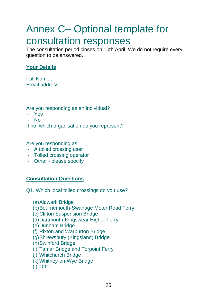# Annex C– Optional template for consultation responses

The consultation period closes on 10th April. We do not require every question to be answered.

### **Your Details**

Full Name : Email address:

Are you responding as an individual?

- Yes
- No

If no, which organisation do you represent?

Are you responding as;

- A tolled crossing user
- Tolled crossing operator
- Other please specify

### **Consultation Questions**

Q1. Which local tolled crossings do you use?

(a)Aldwark Bridge (b)Bournemouth-Swanage Motor Road Ferry (c)Clifton Suspension Bridge (d)Dartmouth-Kingswear Higher Ferry (e)Dunham Bridge (f) Rixton and Warburton Bridge (g)Shrewsbury (Kingsland) Bridge (h)Swinford Bridge (i) Tamar Bridge and Torpoint Ferry (j) Whitchurch Bridge (k)Whitney-on-Wye Bridge (l) Other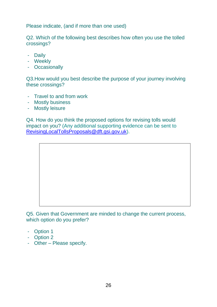Please indicate, (and if more than one used)

Q2. Which of the following best describes how often you use the tolled crossings?

- Daily
- Weekly
- Occasionally

Q3.How would you best describe the purpose of your journey involving these crossings?

- Travel to and from work
- Mostly business
- Mostly leisure

Q4. How do you think the proposed options for revising tolls would impact on you? (Any additional supporting evidence can be sent to [RevisingLocalTollsProposals@dft.gsi.gov.uk\)](mailto:RevisingLocalTollsProposals@dft.gsi.gov.uk).

Q5. Given that Government are minded to change the current process, which option do you prefer?

- Option 1
- Option 2
- Other Please specify.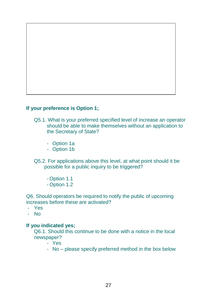

### **If your preference is Option 1;**

- Q5.1. What is your preferred specified level of increase an operator should be able to make themselves without an application to the Secretary of State?
	- Option 1a
	- Option 1b
- Q5.2. For applications above this level, at what point should it be possible for a public inquiry to be triggered?
	- Option 1.1
	- Option 1.2

Q6. Should operators be required to notify the public of upcoming increases before these are activated?

- Yes
- No

#### **If you indicated yes;**

Q6.1. Should this continue to be done with a notice in the local newspaper?

- Yes
- No please specify preferred method in the box below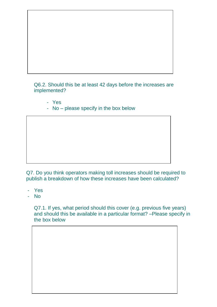

Q6.2. Should this be at least 42 days before the increases are implemented?

- Yes
- No please specify in the box below

Q7. Do you think operators making toll increases should be required to publish a breakdown of how these increases have been calculated?

- Yes
- No

Q7.1. If yes, what period should this cover (e.g. previous five years) and should this be available in a particular format? –Please specify in the box below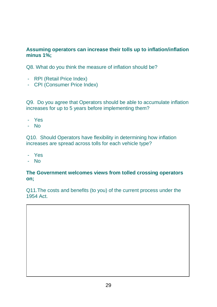### **Assuming operators can increase their tolls up to inflation/inflation minus 1%;**

Q8. What do you think the measure of inflation should be?

- RPI (Retail Price Index)
- CPI (Consumer Price Index)

Q9. Do you agree that Operators should be able to accumulate inflation increases for up to 5 years before implementing them?

- Yes
- No

Q10. Should Operators have flexibility in determining how inflation increases are spread across tolls for each vehicle type?

- Yes
- No

### **The Government welcomes views from tolled crossing operators on;**

Q11.The costs and benefits (to you) of the current process under the 1954 Act.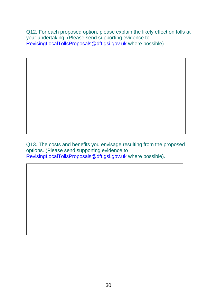Q12. For each proposed option, please explain the likely effect on tolls at your undertaking. (Please send supporting evidence to Revising Local Tolls Proposals @dft.gsi.gov.uk where possible).

Q13. The costs and benefits you envisage resulting from the proposed options. (Please send supporting evidence to Revising LocalTolls Proposals @ dft.gsi.gov.uk where possible).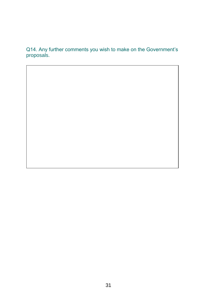Q14. Any further comments you wish to make on the Government's proposals.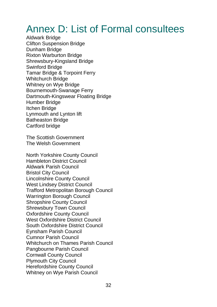# Annex D: List of Formal consultees

Aldwark Bridge Clifton Suspension Bridge Dunham Bridge Rixton Warburton Bridge Shrewsbury-Kingsland Bridge Swinford Bridge Tamar Bridge & Torpoint Ferry Whitchurch Bridge Whitney on Wye Bridge Bournemouth-Swanage Ferry Dartmouth-Kingswear Floating Bridge Humber Bridge Itchen Bridge Lynmouth and Lynton lift Batheaston Bridge Cartford bridge

The Scottish Government The Welsh Government

North Yorkshire County Council Hambleton District Council Aldwark Parish Council Bristol City Council Lincolnshire County Council West Lindsey District Council Trafford Metropolitan Borough Council Warrington Borough Council Shropshire County Council Shrewsbury Town Council Oxfordshire County Council West Oxfordshire District Council South Oxfordshire District Council Eynsham Parish Council Cumnor Parish Council Whitchurch on Thames Parish Council Pangbourne Parish Council Cornwall County Council Plymouth City Council Herefordshire County Council Whitney on Wye Parish Council